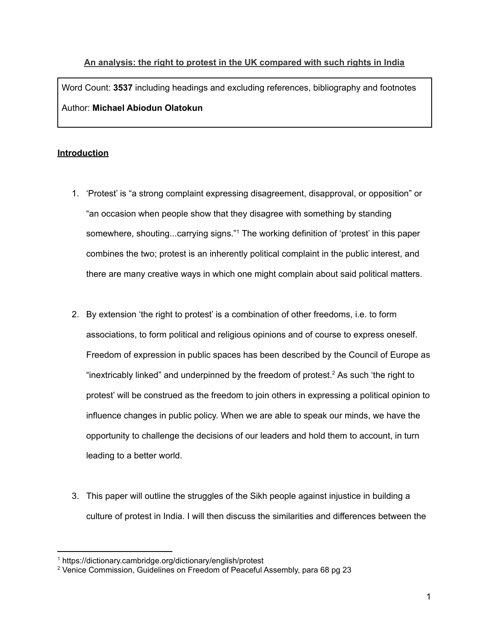# **An analysis: the right to protest in the UK compared with such rights in India** Word Count: **3537** including headings and excluding references, bibliography and footnotes Author: **Michael Abiodun Olatokun**

## **Introduction**

- 1. 'Protest' is "a strong complaint expressing disagreement, disapproval, or opposition" or "an occasion when people show that they disagree with something by standing somewhere, shouting...carrying signs." <sup>1</sup> The working definition of 'protest' in this paper combines the two; protest is an inherently political complaint in the public interest, and there are many creative ways in which one might complain about said political matters.
- 2. By extension 'the right to protest' is a combination of other freedoms, i.e. to form associations, to form political and religious opinions and of course to express oneself. Freedom of expression in public spaces has been described by the Council of Europe as "inextricably linked" and underpinned by the freedom of protest.<sup>2</sup> As such 'the right to protest' will be construed as the freedom to join others in expressing a political opinion to influence changes in public policy. When we are able to speak our minds, we have the opportunity to challenge the decisions of our leaders and hold them to account, in turn leading to a better world.
- 3. This paper will outline the struggles of the Sikh people against injustice in building a culture of protest in India. I will then discuss the similarities and differences between the

<sup>1</sup> https://dictionary.cambridge.org/dictionary/english/protest

<sup>2</sup> Venice Commission, Guidelines on Freedom of Peaceful Assembly, para 68 pg 23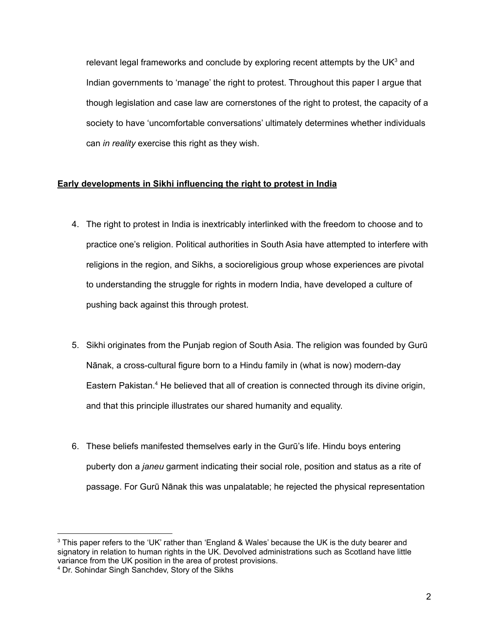relevant legal frameworks and conclude by exploring recent attempts by the UK<sup>3</sup> and Indian governments to 'manage' the right to protest. Throughout this paper I argue that though legislation and case law are cornerstones of the right to protest, the capacity of a society to have 'uncomfortable conversations' ultimately determines whether individuals can *in reality* exercise this right as they wish.

## **Early developments in Sikhi influencing the right to protest in India**

- 4. The right to protest in India is inextricably interlinked with the freedom to choose and to practice one's religion. Political authorities in South Asia have attempted to interfere with religions in the region, and Sikhs, a socioreligious group whose experiences are pivotal to understanding the struggle for rights in modern India, have developed a culture of pushing back against this through protest.
- 5. Sikhi originates from the Punjab region of South Asia. The religion was founded by Gurū Nānak, a cross-cultural figure born to a Hindu family in (what is now) modern-day Eastern Pakistan.<sup>4</sup> He believed that all of creation is connected through its divine origin, and that this principle illustrates our shared humanity and equality.
- 6. These beliefs manifested themselves early in the Gurū's life. Hindu boys entering puberty don a *janeu* garment indicating their social role, position and status as a rite of passage. For Gurū Nānak this was unpalatable; he rejected the physical representation

<sup>&</sup>lt;sup>3</sup> This paper refers to the 'UK' rather than 'England & Wales' because the UK is the duty bearer and signatory in relation to human rights in the UK. Devolved administrations such as Scotland have little variance from the UK position in the area of protest provisions.

<sup>4</sup> Dr. Sohindar Singh Sanchdev, Story of the Sikhs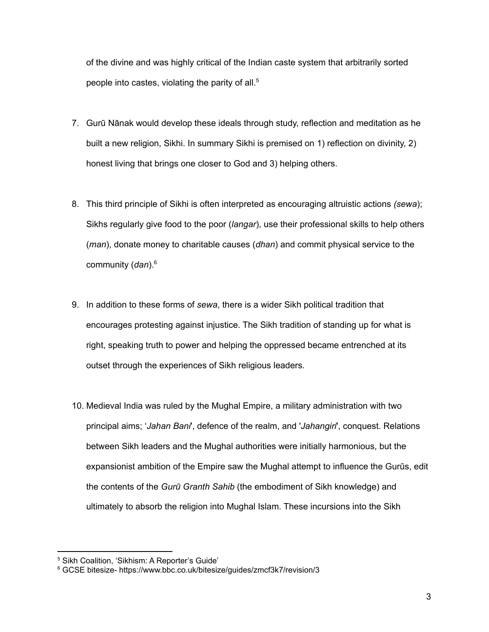of the divine and was highly critical of the Indian caste system that arbitrarily sorted people into castes, violating the parity of all. 5

- 7. Gurū Nānak would develop these ideals through study, reflection and meditation as he built a new religion, Sikhi. In summary Sikhi is premised on 1) reflection on divinity, 2) honest living that brings one closer to God and 3) helping others.
- 8. This third principle of Sikhi is often interpreted as encouraging altruistic actions *(sewa*); Sikhs regularly give food to the poor (*langar*), use their professional skills to help others (*man*), donate money to charitable causes (*dhan*) and commit physical service to the community (*dan*). 6
- 9. In addition to these forms of *sewa*, there is a wider Sikh political tradition that encourages protesting against injustice. The Sikh tradition of standing up for what is right, speaking truth to power and helping the oppressed became entrenched at its outset through the experiences of Sikh religious leaders.
- 10. Medieval India was ruled by the Mughal Empire, a military administration with two principal aims; '*Jahan Bani*', defence of the realm, and '*Jahangiri*', conquest. Relations between Sikh leaders and the Mughal authorities were initially harmonious, but the expansionist ambition of the Empire saw the Mughal attempt to influence the Gurūs, edit the contents of the *Gurū Granth Sahib* (the embodiment of Sikh knowledge) and ultimately to absorb the religion into Mughal Islam. These incursions into the Sikh

<sup>5</sup> Sikh Coalition, 'Sikhism: A Reporter's Guide'

<sup>6</sup> GCSE bitesize- https://www.bbc.co.uk/bitesize/guides/zmcf3k7/revision/3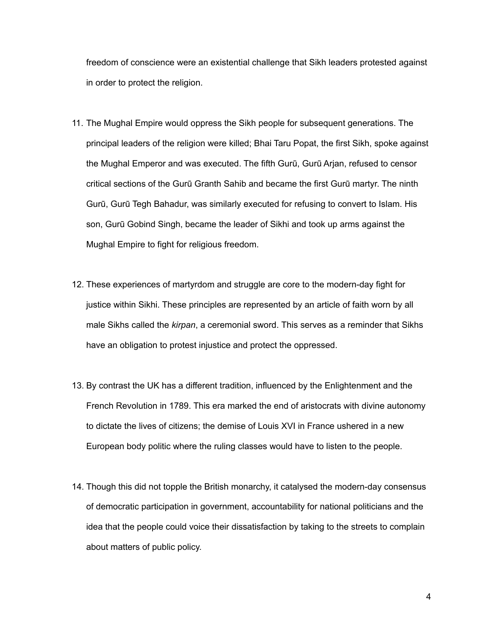freedom of conscience were an existential challenge that Sikh leaders protested against in order to protect the religion.

- 11. The Mughal Empire would oppress the Sikh people for subsequent generations. The principal leaders of the religion were killed; Bhai Taru Popat, the first Sikh, spoke against the Mughal Emperor and was executed. The fifth Gurū, Gurū Arjan, refused to censor critical sections of the Gurū Granth Sahib and became the first Gurū martyr. The ninth Gurū, Gurū Tegh Bahadur, was similarly executed for refusing to convert to Islam. His son, Gurū Gobind Singh, became the leader of Sikhi and took up arms against the Mughal Empire to fight for religious freedom.
- 12. These experiences of martyrdom and struggle are core to the modern-day fight for justice within Sikhi. These principles are represented by an article of faith worn by all male Sikhs called the *kirpan*, a ceremonial sword. This serves as a reminder that Sikhs have an obligation to protest injustice and protect the oppressed.
- 13. By contrast the UK has a different tradition, influenced by the Enlightenment and the French Revolution in 1789. This era marked the end of aristocrats with divine autonomy to dictate the lives of citizens; the demise of Louis XVI in France ushered in a new European body politic where the ruling classes would have to listen to the people.
- 14. Though this did not topple the British monarchy, it catalysed the modern-day consensus of democratic participation in government, accountability for national politicians and the idea that the people could voice their dissatisfaction by taking to the streets to complain about matters of public policy.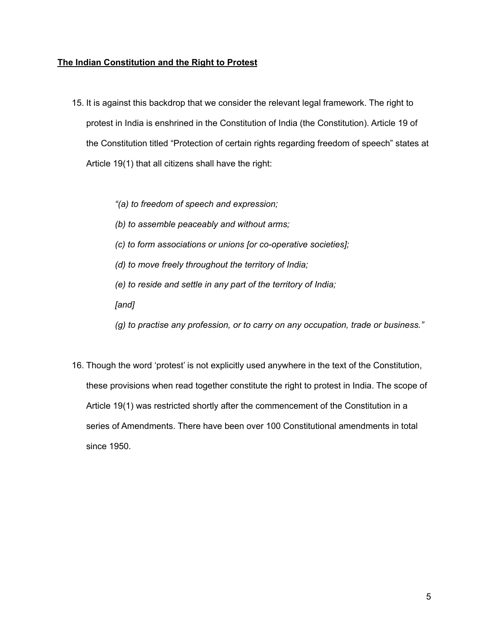## **The Indian Constitution and the Right to Protest**

15. It is against this backdrop that we consider the relevant legal framework. The right to protest in India is enshrined in the Constitution of India (the Constitution). Article 19 of the Constitution titled "Protection of certain rights regarding freedom of speech" states at Article 19(1) that all citizens shall have the right:

*"(a) to freedom of speech and expression;*

*(b) to assemble peaceably and without arms;*

*(c) to form associations or unions [or co-operative societies];*

*(d) to move freely throughout the territory of India;*

*(e) to reside and settle in any part of the territory of India;*

*[and]*

*(g) to practise any profession, or to carry on any occupation, trade or business."*

16. Though the word 'protest' is not explicitly used anywhere in the text of the Constitution, these provisions when read together constitute the right to protest in India. The scope of Article 19(1) was restricted shortly after the commencement of the Constitution in a series of Amendments. There have been over 100 Constitutional amendments in total since 1950.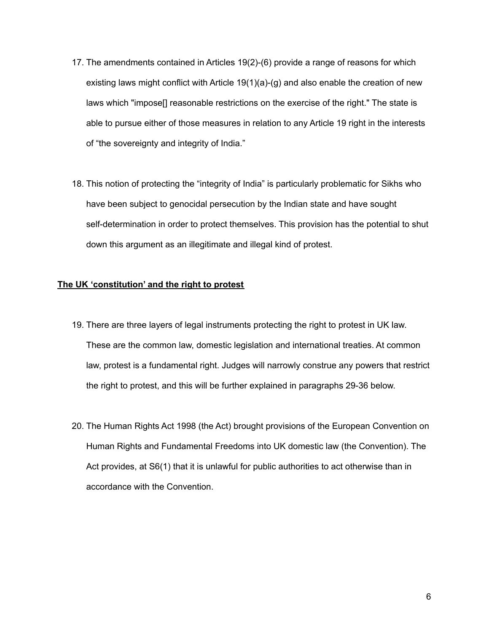- 17. The amendments contained in Articles 19(2)-(6) provide a range of reasons for which existing laws might conflict with Article 19(1)(a)-(g) and also enable the creation of new laws which "impose[] reasonable restrictions on the exercise of the right." The state is able to pursue either of those measures in relation to any Article 19 right in the interests of "the sovereignty and integrity of India."
- 18. This notion of protecting the "integrity of India" is particularly problematic for Sikhs who have been subject to genocidal persecution by the Indian state and have sought self-determination in order to protect themselves. This provision has the potential to shut down this argument as an illegitimate and illegal kind of protest.

### **The UK 'constitution' and the right to protest**

- 19. There are three layers of legal instruments protecting the right to protest in UK law. These are the common law, domestic legislation and international treaties. At common law, protest is a fundamental right. Judges will narrowly construe any powers that restrict the right to protest, and this will be further explained in paragraphs 29-36 below.
- 20. The Human Rights Act 1998 (the Act) brought provisions of the European Convention on Human Rights and Fundamental Freedoms into UK domestic law (the Convention). The Act provides, at S6(1) that it is unlawful for public authorities to act otherwise than in accordance with the Convention.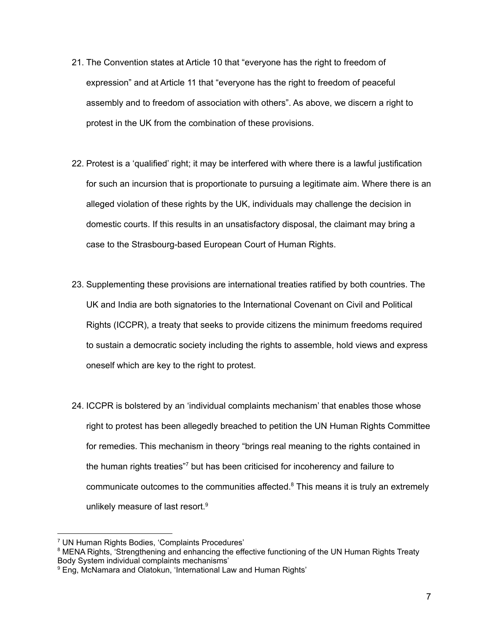- 21. The Convention states at Article 10 that "everyone has the right to freedom of expression" and at Article 11 that "everyone has the right to freedom of peaceful assembly and to freedom of association with others". As above, we discern a right to protest in the UK from the combination of these provisions.
- 22. Protest is a 'qualified' right; it may be interfered with where there is a lawful justification for such an incursion that is proportionate to pursuing a legitimate aim. Where there is an alleged violation of these rights by the UK, individuals may challenge the decision in domestic courts. If this results in an unsatisfactory disposal, the claimant may bring a case to the Strasbourg-based European Court of Human Rights.
- 23. Supplementing these provisions are international treaties ratified by both countries. The UK and India are both signatories to the International Covenant on Civil and Political Rights (ICCPR), a treaty that seeks to provide citizens the minimum freedoms required to sustain a democratic society including the rights to assemble, hold views and express oneself which are key to the right to protest.
- 24. ICCPR is bolstered by an 'individual complaints mechanism' that enables those whose right to protest has been allegedly breached to petition the UN Human Rights Committee for remedies. This mechanism in theory "brings real meaning to the rights contained in the human rights treaties"<sup>7</sup> but has been criticised for incoherency and failure to communicate outcomes to the communities affected. <sup>8</sup> This means it is truly an extremely unlikely measure of last resort. 9

<sup>7</sup> UN Human Rights Bodies, 'Complaints Procedures'

<sup>&</sup>lt;sup>8</sup> MENA Rights, 'Strengthening and enhancing the effective functioning of the UN Human Rights Treaty Body System individual complaints mechanisms'

<sup>&</sup>lt;sup>9</sup> Eng, McNamara and Olatokun, 'International Law and Human Rights'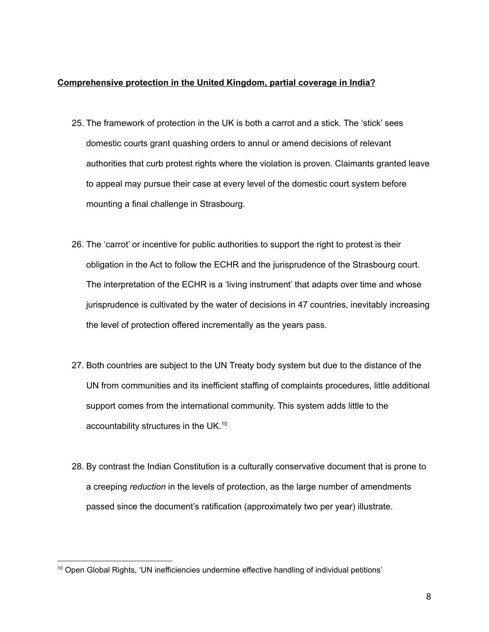## **Comprehensive protection in the United Kingdom, partial coverage in India?**

- 25. The framework of protection in the UK is both a carrot and a stick. The 'stick' sees domestic courts grant quashing orders to annul or amend decisions of relevant authorities that curb protest rights where the violation is proven. Claimants granted leave to appeal may pursue their case at every level of the domestic court system before mounting a final challenge in Strasbourg.
- 26. The 'carrot' or incentive for public authorities to support the right to protest is their obligation in the Act to follow the ECHR and the jurisprudence of the Strasbourg court. The interpretation of the ECHR is a 'living instrument' that adapts over time and whose jurisprudence is cultivated by the water of decisions in 47 countries, inevitably increasing the level of protection offered incrementally as the years pass.
- 27. Both countries are subject to the UN Treaty body system but due to the distance of the UN from communities and its inefficient staffing of complaints procedures, little additional support comes from the international community. This system adds little to the accountability structures in the UK.<sup>10</sup>
- 28. By contrast the Indian Constitution is a culturally conservative document that is prone to a creeping *reduction* in the levels of protection, as the large number of amendments passed since the document's ratification (approximately two per year) illustrate.

 $10$  Open Global Rights, 'UN inefficiencies undermine effective handling of individual petitions'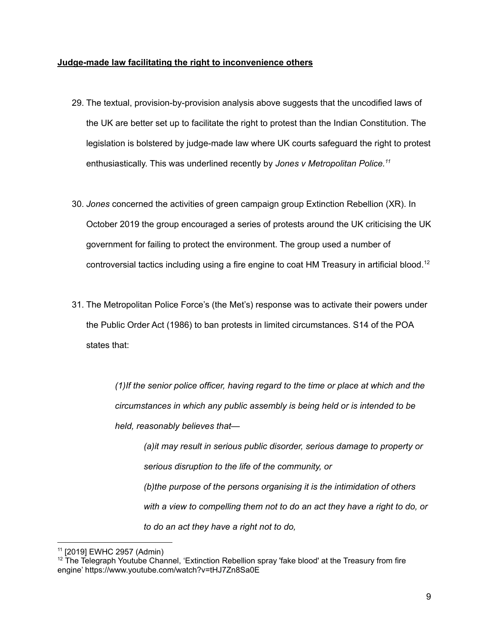#### **Judge-made law facilitating the right to inconvenience others**

- 29. The textual, provision-by-provision analysis above suggests that the uncodified laws of the UK are better set up to facilitate the right to protest than the Indian Constitution. The legislation is bolstered by judge-made law where UK courts safeguard the right to protest enthusiastically. This was underlined recently by *Jones v Metropolitan Police. 11*
- 30. *Jones* concerned the activities of green campaign group Extinction Rebellion (XR). In October 2019 the group encouraged a series of protests around the UK criticising the UK government for failing to protect the environment. The group used a number of controversial tactics including using a fire engine to coat HM Treasury in artificial blood. 12
- 31. The Metropolitan Police Force's (the Met's) response was to activate their powers under the Public Order Act (1986) to ban protests in limited circumstances. S14 of the POA states that:

*(1)If the senior police officer, having regard to the time or place at which and the circumstances in which any public assembly is being held or is intended to be held, reasonably believes that—*

*(a)it may result in serious public disorder, serious damage to property or serious disruption to the life of the community, or (b)the purpose of the persons organising it is the intimidation of others with a view to compelling them not to do an act they have a right to do, or to do an act they have a right not to do,*

<sup>11</sup> [2019] EWHC 2957 (Admin)

 $12$  The Telegraph Youtube Channel, 'Extinction Rebellion spray 'fake blood' at the Treasury from fire engine' https://www.youtube.com/watch?v=tHJ7Zn8Sa0E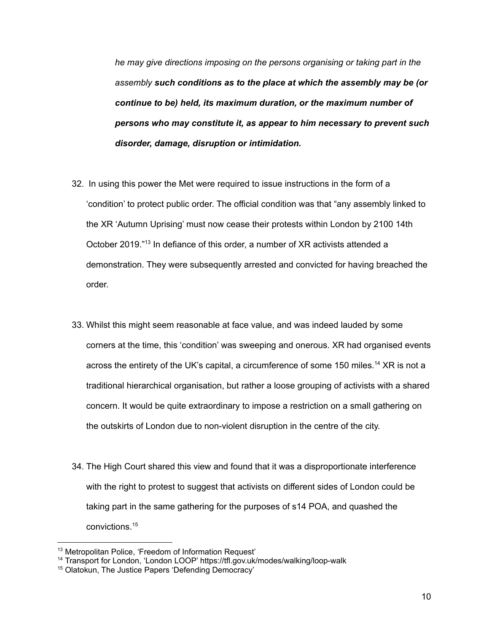*he may give directions imposing on the persons organising or taking part in the assembly such conditions as to the place at which the assembly may be (or continue to be) held, its maximum duration, or the maximum number of persons who may constitute it, as appear to him necessary to prevent such disorder, damage, disruption or intimidation.*

- 32. In using this power the Met were required to issue instructions in the form of a 'condition' to protect public order. The official condition was that "any assembly linked to the XR 'Autumn Uprising' must now cease their protests within London by 2100 14th October 2019." 13 In defiance of this order, a number of XR activists attended a demonstration. They were subsequently arrested and convicted for having breached the order.
- 33. Whilst this might seem reasonable at face value, and was indeed lauded by some corners at the time, this 'condition' was sweeping and onerous. XR had organised events across the entirety of the UK's capital, a circumference of some 150 miles.<sup>14</sup> XR is not a traditional hierarchical organisation, but rather a loose grouping of activists with a shared concern. It would be quite extraordinary to impose a restriction on a small gathering on the outskirts of London due to non-violent disruption in the centre of the city.
- 34. The High Court shared this view and found that it was a disproportionate interference with the right to protest to suggest that activists on different sides of London could be taking part in the same gathering for the purposes of s14 POA, and quashed the convictions. 15

<sup>13</sup> Metropolitan Police, 'Freedom of Information Request'

<sup>14</sup> Transport for London, 'London LOOP' https://tfl.gov.uk/modes/walking/loop-walk

<sup>15</sup> Olatokun, The Justice Papers 'Defending Democracy'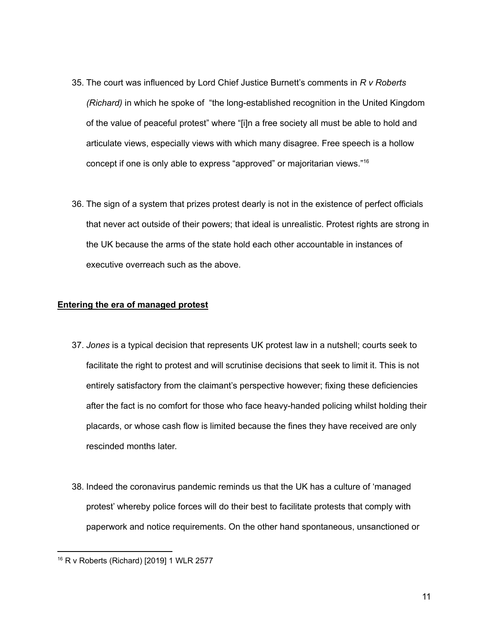- 35. The court was influenced by Lord Chief Justice Burnett's comments in *R v Roberts (Richard)* in which he spoke of "the long-established recognition in the United Kingdom of the value of peaceful protest" where "[i]n a free society all must be able to hold and articulate views, especially views with which many disagree. Free speech is a hollow concept if one is only able to express "approved" or majoritarian views." 16
- 36. The sign of a system that prizes protest dearly is not in the existence of perfect officials that never act outside of their powers; that ideal is unrealistic. Protest rights are strong in the UK because the arms of the state hold each other accountable in instances of executive overreach such as the above.

## **Entering the era of managed protest**

- 37. *Jones* is a typical decision that represents UK protest law in a nutshell; courts seek to facilitate the right to protest and will scrutinise decisions that seek to limit it. This is not entirely satisfactory from the claimant's perspective however; fixing these deficiencies after the fact is no comfort for those who face heavy-handed policing whilst holding their placards, or whose cash flow is limited because the fines they have received are only rescinded months later.
- 38. Indeed the coronavirus pandemic reminds us that the UK has a culture of 'managed protest' whereby police forces will do their best to facilitate protests that comply with paperwork and notice requirements. On the other hand spontaneous, unsanctioned or

<sup>16</sup> R v Roberts (Richard) [2019] 1 WLR 2577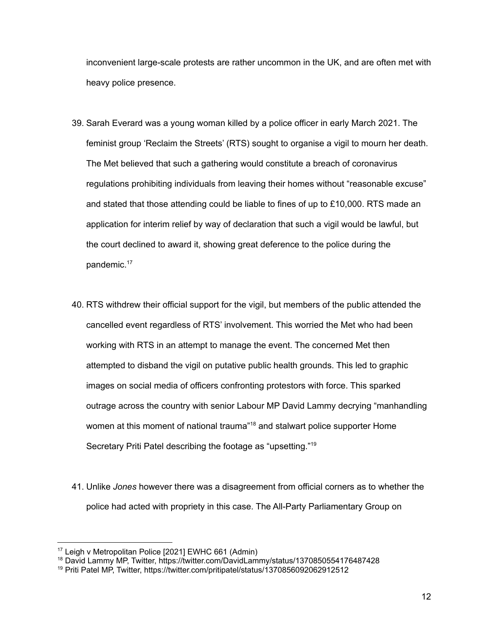inconvenient large-scale protests are rather uncommon in the UK, and are often met with heavy police presence.

- 39. Sarah Everard was a young woman killed by a police officer in early March 2021. The feminist group 'Reclaim the Streets' (RTS) sought to organise a vigil to mourn her death. The Met believed that such a gathering would constitute a breach of coronavirus regulations prohibiting individuals from leaving their homes without "reasonable excuse" and stated that those attending could be liable to fines of up to £10,000. RTS made an application for interim relief by way of declaration that such a vigil would be lawful, but the court declined to award it, showing great deference to the police during the pandemic. 17
- 40. RTS withdrew their official support for the vigil, but members of the public attended the cancelled event regardless of RTS' involvement. This worried the Met who had been working with RTS in an attempt to manage the event. The concerned Met then attempted to disband the vigil on putative public health grounds. This led to graphic images on social media of officers confronting protestors with force. This sparked outrage across the country with senior Labour MP David Lammy decrying "manhandling women at this moment of national trauma"<sup>18</sup> and stalwart police supporter Home Secretary Priti Patel describing the footage as "upsetting."<sup>19</sup>
- 41. Unlike *Jones* however there was a disagreement from official corners as to whether the police had acted with propriety in this case. The All-Party Parliamentary Group on

<sup>17</sup> Leigh v Metropolitan Police [2021] EWHC 661 (Admin)

<sup>18</sup> David Lammy MP, Twitter, https://twitter.com/DavidLammy/status/1370850554176487428

<sup>19</sup> Priti Patel MP, Twitter, https://twitter.com/pritipatel/status/1370856092062912512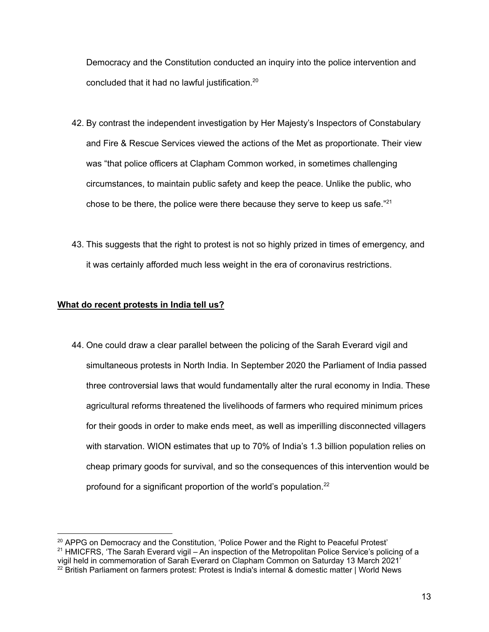Democracy and the Constitution conducted an inquiry into the police intervention and concluded that it had no lawful justification. 20

- 42. By contrast the independent investigation by Her Majesty's Inspectors of Constabulary and Fire & Rescue Services viewed the actions of the Met as proportionate. Their view was "that police officers at Clapham Common worked, in sometimes challenging circumstances, to maintain public safety and keep the peace. Unlike the public, who chose to be there, the police were there because they serve to keep us safe." 21
- 43. This suggests that the right to protest is not so highly prized in times of emergency, and it was certainly afforded much less weight in the era of coronavirus restrictions.

## **What do recent protests in India tell us?**

44. One could draw a clear parallel between the policing of the Sarah Everard vigil and simultaneous protests in North India. In September 2020 the Parliament of India passed three controversial laws that would fundamentally alter the rural economy in India. These agricultural reforms threatened the livelihoods of farmers who required minimum prices for their goods in order to make ends meet, as well as imperilling disconnected villagers with starvation. WION estimates that up to 70% of India's 1.3 billion population relies on cheap primary goods for survival, and so the consequences of this intervention would be profound for a significant proportion of the world's population.<sup>22</sup>

 $22$  British Parliament on farmers protest: Protest is India's internal & domestic matter | World News  $21$  HMICFRS, 'The Sarah Everard vigil – An inspection of the Metropolitan Police Service's policing of a vigil held in commemoration of Sarah Everard on Clapham Common on Saturday 13 March 2021' <sup>20</sup> APPG on Democracy and the Constitution, 'Police Power and the Right to Peaceful Protest'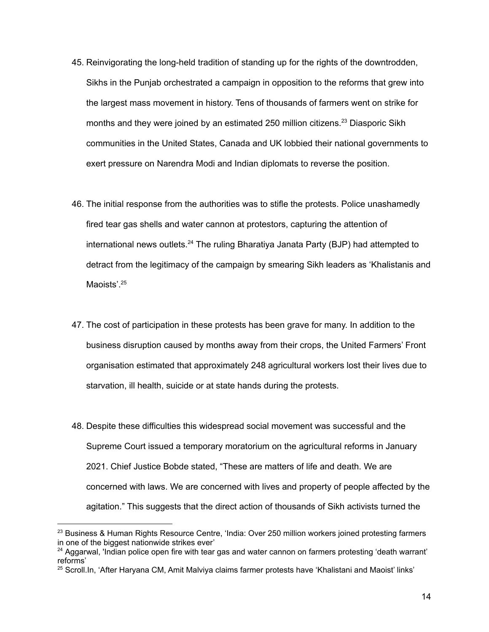- 45. Reinvigorating the long-held tradition of standing up for the rights of the downtrodden, Sikhs in the Punjab orchestrated a campaign in opposition to the reforms that grew into the largest mass movement in history. Tens of thousands of farmers went on strike for months and they were joined by an estimated 250 million citizens.<sup>23</sup> Diasporic Sikh communities in the United States, Canada and UK lobbied their national governments to exert pressure on Narendra Modi and Indian diplomats to reverse the position.
- 46. The initial response from the authorities was to stifle the protests. Police unashamedly fired tear gas shells and water cannon at protestors, capturing the attention of international news outlets.<sup>24</sup> The ruling Bharatiya Janata Party (BJP) had attempted to detract from the legitimacy of the campaign by smearing Sikh leaders as 'Khalistanis and Maoists'.<sup>25</sup>
- 47. The cost of participation in these protests has been grave for many. In addition to the business disruption caused by months away from their crops, the United Farmers' Front organisation estimated that approximately 248 agricultural workers lost their lives due to starvation, ill health, suicide or at state hands during the protests.
- 48. Despite these difficulties this widespread social movement was successful and the Supreme Court issued a temporary moratorium on the agricultural reforms in January 2021. Chief Justice Bobde stated, "These are matters of life and death. We are concerned with laws. We are concerned with lives and property of people affected by the agitation." This suggests that the direct action of thousands of Sikh activists turned the

<sup>&</sup>lt;sup>23</sup> Business & Human Rights Resource Centre, 'India: Over 250 million workers joined protesting farmers in one of the biggest nationwide strikes ever'

<sup>&</sup>lt;sup>24</sup> Aggarwal, 'Indian police open fire with tear gas and water cannon on farmers protesting 'death warrant' reforms'

<sup>&</sup>lt;sup>25</sup> Scroll.In, 'After Haryana CM, Amit Malviya claims farmer protests have 'Khalistani and Maoist' links'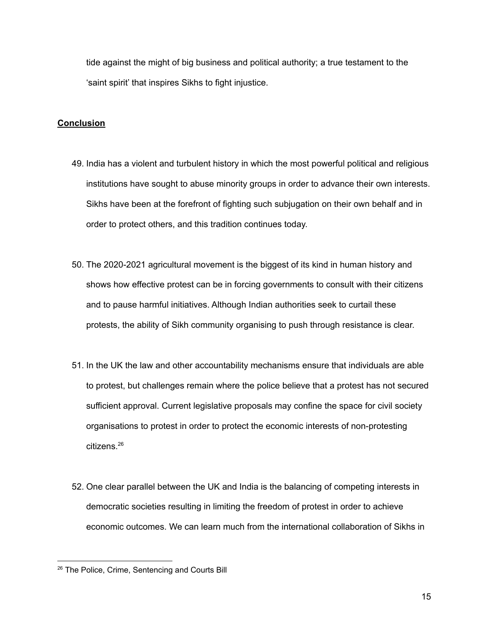tide against the might of big business and political authority; a true testament to the 'saint spirit' that inspires Sikhs to fight injustice.

## **Conclusion**

- 49. India has a violent and turbulent history in which the most powerful political and religious institutions have sought to abuse minority groups in order to advance their own interests. Sikhs have been at the forefront of fighting such subjugation on their own behalf and in order to protect others, and this tradition continues today.
- 50. The 2020-2021 agricultural movement is the biggest of its kind in human history and shows how effective protest can be in forcing governments to consult with their citizens and to pause harmful initiatives. Although Indian authorities seek to curtail these protests, the ability of Sikh community organising to push through resistance is clear.
- 51. In the UK the law and other accountability mechanisms ensure that individuals are able to protest, but challenges remain where the police believe that a protest has not secured sufficient approval. Current legislative proposals may confine the space for civil society organisations to protest in order to protect the economic interests of non-protesting citizens. 26
- 52. One clear parallel between the UK and India is the balancing of competing interests in democratic societies resulting in limiting the freedom of protest in order to achieve economic outcomes. We can learn much from the international collaboration of Sikhs in

<sup>&</sup>lt;sup>26</sup> The Police, Crime, Sentencing and Courts Bill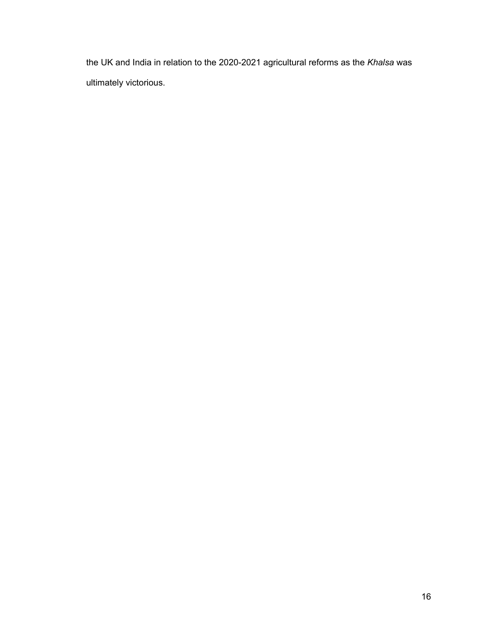the UK and India in relation to the 2020-2021 agricultural reforms as the *Khalsa* was ultimately victorious.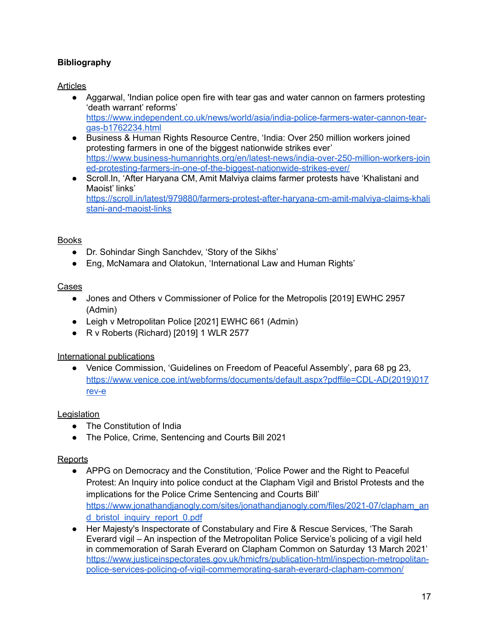# **Bibliography**

# Articles

- Aggarwal, 'Indian police open fire with tear gas and water cannon on farmers protesting 'death warrant' reforms' [https://www.independent.co.uk/news/world/asia/india-police-farmers-water-cannon-tear](https://www.independent.co.uk/news/world/asia/india-police-farmers-water-cannon-tear-gas-b1762234.html)[gas-b1762234.html](https://www.independent.co.uk/news/world/asia/india-police-farmers-water-cannon-tear-gas-b1762234.html)
- Business & Human Rights Resource Centre, 'India: Over 250 million workers joined protesting farmers in one of the biggest nationwide strikes ever' [https://www.business-humanrights.org/en/latest-news/india-over-250-million-workers-join](https://www.business-humanrights.org/en/latest-news/india-over-250-million-workers-joined-protesting-farmers-in-one-of-the-biggest-nationwide-strikes-ever/) [ed-protesting-farmers-in-one-of-the-biggest-nationwide-strikes-ever/](https://www.business-humanrights.org/en/latest-news/india-over-250-million-workers-joined-protesting-farmers-in-one-of-the-biggest-nationwide-strikes-ever/)
- Scroll.In, 'After Haryana CM, Amit Malviya claims farmer protests have 'Khalistani and Maoist' links' [https://scroll.in/latest/979880/farmers-protest-after-haryana-cm-amit-malviya-claims-khali](https://scroll.in/latest/979880/farmers-protest-after-haryana-cm-amit-malviya-claims-khalistani-and-maoist-links) [stani-and-maoist-links](https://scroll.in/latest/979880/farmers-protest-after-haryana-cm-amit-malviya-claims-khalistani-and-maoist-links)

# Books

- Dr. Sohindar Singh Sanchdev, 'Story of the Sikhs'
- Eng, McNamara and Olatokun, 'International Law and Human Rights'

# Cases

- Jones and Others v Commissioner of Police for the Metropolis [2019] EWHC 2957 (Admin)
- Leigh v Metropolitan Police [2021] EWHC 661 (Admin)
- R v Roberts (Richard) [2019] 1 WLR 2577

# International publications

● Venice Commission, 'Guidelines on Freedom of Peaceful Assembly', para 68 pg 23, [https://www.venice.coe.int/webforms/documents/default.aspx?pdffile=CDL-AD\(2019\)017](https://www.venice.coe.int/webforms/documents/default.aspx?pdffile=CDL-AD(2019)017rev-e) [rev-e](https://www.venice.coe.int/webforms/documents/default.aspx?pdffile=CDL-AD(2019)017rev-e)

# **Legislation**

- The Constitution of India
- The Police, Crime, Sentencing and Courts Bill 2021

## **Reports**

- APPG on Democracy and the Constitution, 'Police Power and the Right to Peaceful Protest: An Inquiry into police conduct at the Clapham Vigil and Bristol Protests and the implications for the Police Crime Sentencing and Courts Bill' [https://www.jonathandjanogly.com/sites/jonathandjanogly.com/files/2021-07/clapham\\_an](https://www.jonathandjanogly.com/sites/jonathandjanogly.com/files/2021-07/clapham_and_bristol_inquiry_report_0.pdf) [d\\_bristol\\_inquiry\\_report\\_0.pdf](https://www.jonathandjanogly.com/sites/jonathandjanogly.com/files/2021-07/clapham_and_bristol_inquiry_report_0.pdf)
- Her Majesty's Inspectorate of Constabulary and Fire & Rescue Services, 'The Sarah Everard vigil – An inspection of the Metropolitan Police Service's policing of a vigil held in commemoration of Sarah Everard on Clapham Common on Saturday 13 March 2021' [https://www.justiceinspectorates.gov.uk/hmicfrs/publication-html/inspection-metropolitan](https://www.justiceinspectorates.gov.uk/hmicfrs/publication-html/inspection-metropolitan-police-services-policing-of-vigil-commemorating-sarah-everard-clapham-common/)[police-services-policing-of-vigil-commemorating-sarah-everard-clapham-common/](https://www.justiceinspectorates.gov.uk/hmicfrs/publication-html/inspection-metropolitan-police-services-policing-of-vigil-commemorating-sarah-everard-clapham-common/)